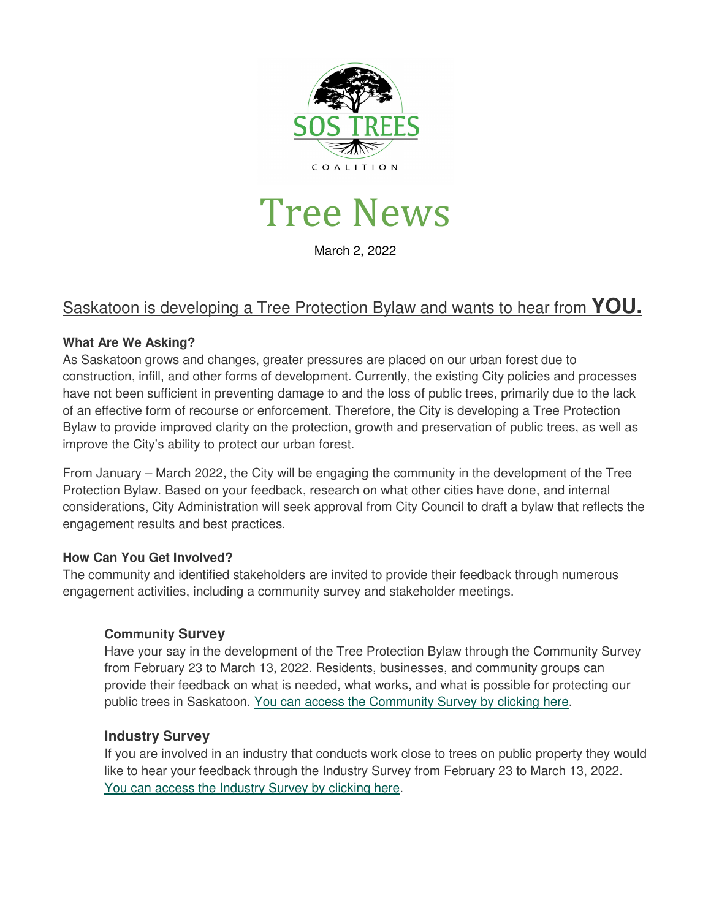

# Tree News

March 2, 2022

#### Saskatoon is developing a Tree Protection Bylaw and wants to hear from **YOU.**

#### **What Are We Asking?**

As Saskatoon grows and changes, greater pressures are placed on our urban forest due to construction, infill, and other forms of development. Currently, the existing City policies and processes have not been sufficient in preventing damage to and the loss of public trees, primarily due to the lack of an effective form of recourse or enforcement. Therefore, the City is developing a Tree Protection Bylaw to provide improved clarity on the protection, growth and preservation of public trees, as well as improve the City's ability to protect our urban forest.

From January – March 2022, the City will be engaging the community in the development of the Tree Protection Bylaw. Based on your feedback, research on what other cities have done, and internal considerations, City Administration will seek approval from City Council to draft a bylaw that reflects the engagement results and best practices.

#### **How Can You Get Involved?**

The community and identified stakeholders are invited to provide their feedback through numerous engagement activities, including a community survey and stakeholder meetings.

#### **Community Survey**

Have your say in the development of the Tree Protection Bylaw through the Community Survey from February 23 to March 13, 2022. Residents, businesses, and community groups can provide their feedback on what is needed, what works, and what is possible for protecting our public trees in Saskatoon. You can access the Community Survey by clicking here.

#### **Industry Survey**

If you are involved in an industry that conducts work close to trees on public property they would like to hear your feedback through the Industry Survey from February 23 to March 13, 2022. You can access the Industry Survey by clicking here.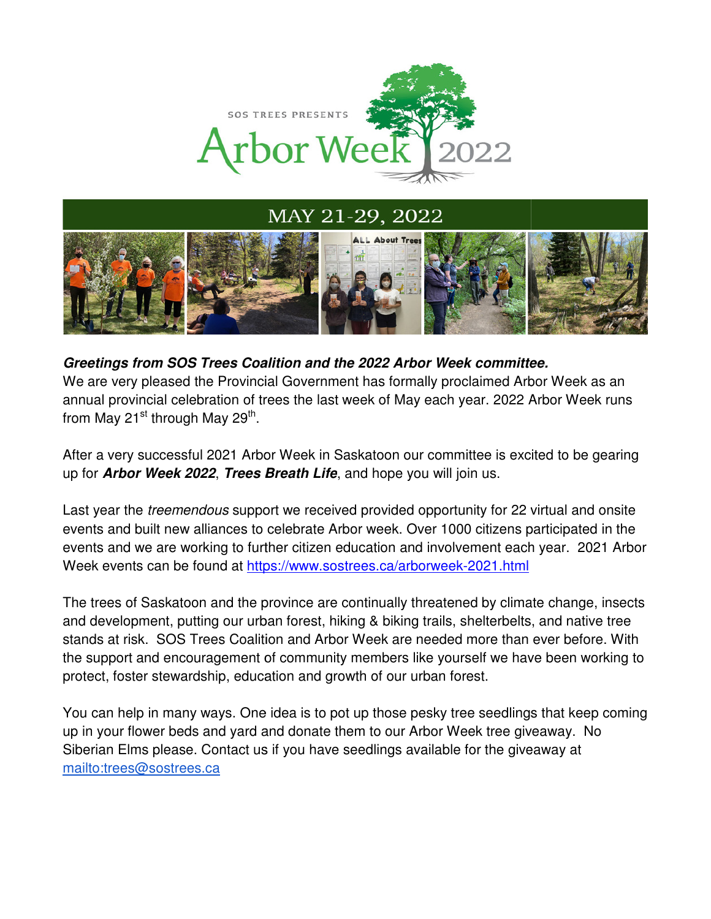

MAY 21-29, 2022



#### **Greetings from SOS Trees Coalition and the 2022 Arbor Week committee. Greetings from SOS**

We are very pleased the Provincial Government has formally proclaimed Arbor Week as an annual provincial celebration of trees the last week of May each year. 2022 Arbor Week runs from May 21<sup>st</sup> through May 29<sup>th</sup>. We are very pleased the Provincial Government has formally proclaimed<br>annual provincial celebration of trees the last week of May each year. 202<br>from May 21<sup>st</sup> through May 29<sup>th</sup>.<br>After a very successful 2021 Arbor Week i

After a very successful 2021 Arbor Week in Saskatoon our committee is excited to be gearing up for *Arbor Week 2022*, Trees Breath Life, and hope you will join us.

Last year the *treemendous* support we received provided opportunity for 22 virtual and onsite events and built new alliances to celebrate Arbor week. Over 1000 citizens participated in the events and we are working to further citizen education and involvement each year. 2021 Arbor Week events can be found at https://www.sostrees.ca/arborweek-2021.html built new alliances to celebrate Arbor week. Over 1000 citizens p<br>we are working to further citizen education and involvement eacl<br>:s can be found at <u>https://www.sostrees.ca/arborweek-2021.html</u>

The trees of Saskatoon and the province are continually threatened by climate change, insects and development, putting our urban forest, hiking & biking trails, shelterbelts, and native tree stands at risk. SOS Trees Coalition and Arbor Week are needed mo the support and encouragement of community members like yourself we have been working to protect, foster stewardship, education and growth of our urban forest. the support and encouragement of community members like yourself we have been working to<br>protect, foster stewardship, education and growth of our urban forest.<br>You can help in many ways. One idea is to pot up those pesky t The trees of Saskatoon and the province are continually threatened by climate change, insects<br>and development, putting our urban forest, hiking & biking trails, shelterbelts, and native tree<br>stands at risk. SOS Trees Coal **Greetings from SOS Trees Coalition and the 2022 Arbor Week committee.**<br>We are very pleased the Provincial Government has formally proclaimed Arbor Week as an annual provincial celebration of trees the last week of May eac tunity for 22 virtual and or<br>1000 citizens participated in<br>lvement each year. 2021<br><u>kk-2021.html</u><br>med by climate change, in<br>, shelterbelts, and native t<br>d more than ever before.<br>urself we have been work<br>orest.<br>ree seedling

up in your flower beds and yard and donate them to our Arbor Week tree giveaway. No Siberian Elms please. Contact us if you have seedlings available for the giveaway at mailto:trees@sostrees.ca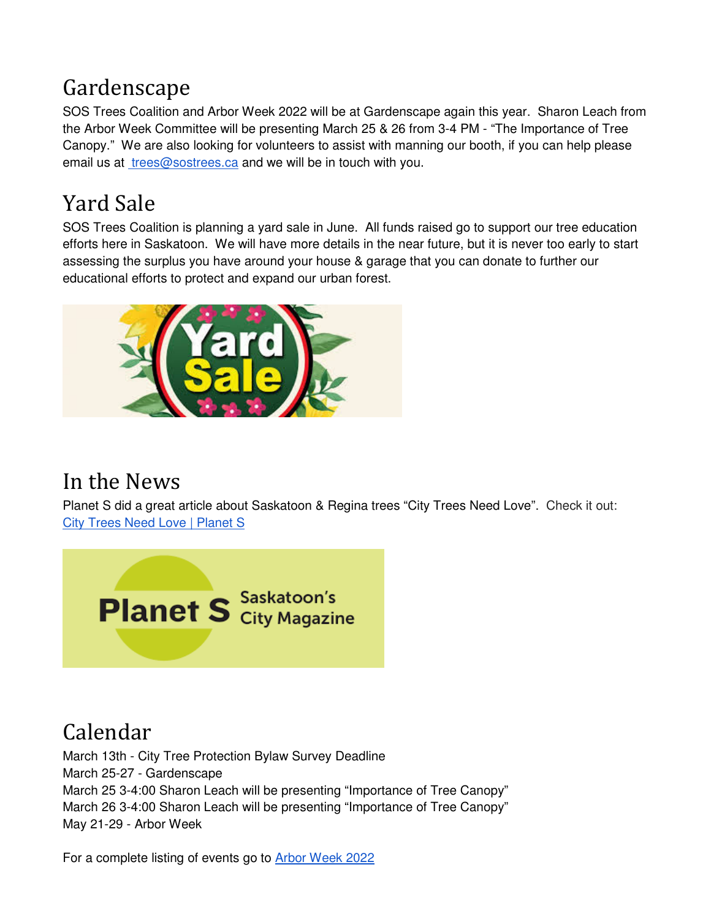### Gardenscape

SOS Trees Coalition and Arbor Week 2022 will be at Gardenscape again this year. Sharon Leach from the Arbor Week Committee will be presenting March 25 & 26 from 3-4 PM - "The Importance of Tree Canopy." We are also looking for volunteers to assist with manning our booth, if you can help please email us at trees@sostrees.ca and we will be in touch with you.

## Yard Sale

SOS Trees Coalition is planning a yard sale in June. All funds raised go to support our tree education efforts here in Saskatoon. We will have more details in the near future, but it is never too early to start assessing the surplus you have around your house & garage that you can donate to further our educational efforts to protect and expand our urban forest.



### In the News

Planet S did a great article about Saskatoon & Regina trees "City Trees Need Love". Check it out: City Trees Need Love | Planet S



## Calendar

March 13th - City Tree Protection Bylaw Survey Deadline March 25-27 - Gardenscape March 25 3-4:00 Sharon Leach will be presenting "Importance of Tree Canopy" March 26 3-4:00 Sharon Leach will be presenting "Importance of Tree Canopy" May 21-29 - Arbor Week

For a complete listing of events go to Arbor Week 2022